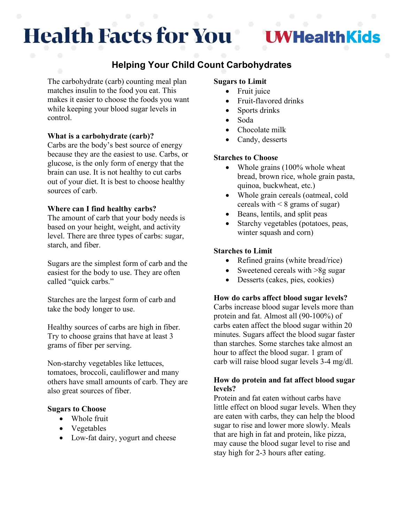# **Health Facts for You**

# **I WHealthKids**

# **Helping Your Child Count Carbohydrates**

The carbohydrate (carb) counting meal plan matches insulin to the food you eat. This makes it easier to choose the foods you want while keeping your blood sugar levels in control.

## **What is a carbohydrate (carb)?**

Carbs are the body's best source of energy because they are the easiest to use. Carbs, or glucose, is the only form of energy that the brain can use. It is not healthy to cut carbs out of your diet. It is best to choose healthy sources of carb.

## **Where can I find healthy carbs?**

The amount of carb that your body needs is based on your height, weight, and activity level. There are three types of carbs: sugar, starch, and fiber.

Sugars are the simplest form of carb and the easiest for the body to use. They are often called "quick carbs."

Starches are the largest form of carb and take the body longer to use.

Healthy sources of carbs are high in fiber. Try to choose grains that have at least 3 grams of fiber per serving.

Non-starchy vegetables like lettuces, tomatoes, broccoli, cauliflower and many others have small amounts of carb. They are also great sources of fiber.

#### **Sugars to Choose**

- Whole fruit
- Vegetables
- Low-fat dairy, yogurt and cheese

#### **Sugars to Limit**

- Fruit juice
- Fruit-flavored drinks
- Sports drinks
- Soda
- Chocolate milk
- Candy, desserts

#### **Starches to Choose**

- Whole grains (100% whole wheat bread, brown rice, whole grain pasta, quinoa, buckwheat, etc.)
- Whole grain cereals (oatmeal, cold cereals with  $\leq 8$  grams of sugar)
- Beans, lentils, and split peas
- Starchy vegetables (potatoes, peas, winter squash and corn)

#### **Starches to Limit**

- Refined grains (white bread/rice)
- Sweetened cereals with >8g sugar
- Desserts (cakes, pies, cookies)

#### **How do carbs affect blood sugar levels?**

Carbs increase blood sugar levels more than protein and fat. Almost all (90-100%) of carbs eaten affect the blood sugar within 20 minutes. Sugars affect the blood sugar faster than starches. Some starches take almost an hour to affect the blood sugar. 1 gram of carb will raise blood sugar levels 3-4 mg/dl.

#### **How do protein and fat affect blood sugar levels?**

Protein and fat eaten without carbs have little effect on blood sugar levels. When they are eaten with carbs, they can help the blood sugar to rise and lower more slowly. Meals that are high in fat and protein, like pizza, may cause the blood sugar level to rise and stay high for 2-3 hours after eating.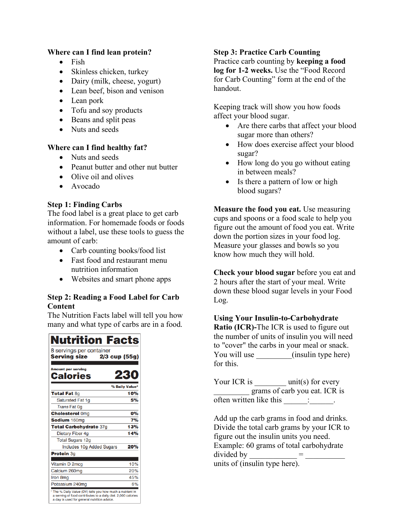# **Where can I find lean protein?**

- Fish
- Skinless chicken, turkey
- Dairy (milk, cheese, yogurt)
- Lean beef, bison and venison
- Lean pork
- Tofu and soy products
- Beans and split peas
- Nuts and seeds

## **Where can I find healthy fat?**

- Nuts and seeds
- Peanut butter and other nut butter
- Olive oil and olives
- Avocado

# **Step 1: Finding Carbs**

The food label is a great place to get carb information. For homemade foods or foods without a label, use these tools to guess the amount of carb:

- Carb counting books/food list
- Fast food and restaurant menu nutrition information
- Websites and smart phone apps

# **Step 2: Reading a Food Label for Carb Content**

The Nutrition Facts label will tell you how many and what type of carbs are in a food.

| <b>Nutrition Facts</b>                                                                                                                                                    |                |
|---------------------------------------------------------------------------------------------------------------------------------------------------------------------------|----------------|
| 8 servings per container<br><b>Serving size</b><br>$2/3$ cup (55g)                                                                                                        |                |
| <b>Amount per serving</b>                                                                                                                                                 |                |
| Calories                                                                                                                                                                  | 23             |
|                                                                                                                                                                           | % Daily Value* |
| <b>Total Fat 8g</b>                                                                                                                                                       | 10%            |
| Saturated Fat 1q                                                                                                                                                          | 5%             |
| <b>Trans Fat 0g</b>                                                                                                                                                       |                |
| <b>Cholesterol Omg</b>                                                                                                                                                    | 0%             |
| Sodium 160mg                                                                                                                                                              | 7%             |
| Total Carbohydrate 37g                                                                                                                                                    | 13%            |
| <b>Dietary Fiber 4g</b>                                                                                                                                                   | 14%            |
| <b>Total Sugars 12g</b>                                                                                                                                                   |                |
| <b>Includes 10g Added Sugars</b>                                                                                                                                          | 20%            |
| Protein 3g                                                                                                                                                                |                |
| Vitamin D 2mcg                                                                                                                                                            | 10%            |
| Calcium 260mg                                                                                                                                                             | 20%            |
| Iron 8mg                                                                                                                                                                  | 45%            |
| Potassium 240mg                                                                                                                                                           | 6%             |
| * The % Daily Value (DV) tells you how much a nutrient in<br>a serving of food contributes to a daily diet. 2,000 calories<br>a day is used for general nutrition advice. |                |

# **Step 3: Practice Carb Counting**

Practice carb counting by **keeping a food log for 1-2 weeks.** Use the "Food Record for Carb Counting" form at the end of the handout.

Keeping track will show you how foods affect your blood sugar.

- Are there carbs that affect your blood sugar more than others?
- How does exercise affect your blood sugar?
- How long do you go without eating in between meals?
- Is there a pattern of low or high blood sugars?

**Measure the food you eat.** Use measuring cups and spoons or a food scale to help you figure out the amount of food you eat. Write down the portion sizes in your food log. Measure your glasses and bowls so you know how much they will hold.

**Check your blood sugar** before you eat and 2 hours after the start of your meal. Write down these blood sugar levels in your Food Log.

**Using Your Insulin-to-Carbohydrate Ratio (ICR)-**The ICR is used to figure out the number of units of insulin you will need to "cover" the carbs in your meal or snack. You will use  $($ insulin type here) for this.

Your ICR is \_\_\_\_\_\_\_\_ unit(s) for every \_\_\_\_\_\_\_\_\_ grams of carb you eat. ICR is often written like this  $\underline{\qquad \qquad}$ :

Add up the carb grams in food and drinks. Divide the total carb grams by your ICR to figure out the insulin units you need. Example: 60 grams of total carbohydrate divided by  $\qquad$  = units of (insulin type here).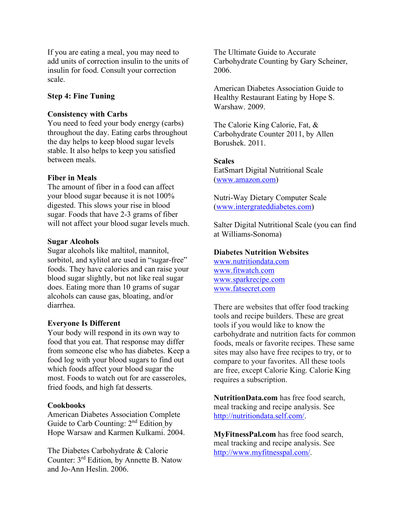If you are eating a meal, you may need to add units of correction insulin to the units of insulin for food. Consult your correction scale.

#### **Step 4: Fine Tuning**

#### **Consistency with Carbs**

You need to feed your body energy (carbs) throughout the day. Eating carbs throughout the day helps to keep blood sugar levels stable. It also helps to keep you satisfied between meals.

#### **Fiber in Meals**

The amount of fiber in a food can affect your blood sugar because it is not 100% digested. This slows your rise in blood sugar. Foods that have 2-3 grams of fiber will not affect your blood sugar levels much.

#### **Sugar Alcohols**

Sugar alcohols like maltitol, mannitol, sorbitol, and xylitol are used in "sugar-free" foods. They have calories and can raise your blood sugar slightly, but not like real sugar does. Eating more than 10 grams of sugar alcohols can cause gas, bloating, and/or diarrhea.

#### **Everyone Is Different**

Your body will respond in its own way to food that you eat. That response may differ from someone else who has diabetes. Keep a food log with your blood sugars to find out which foods affect your blood sugar the most. Foods to watch out for are casseroles, fried foods, and high fat desserts.

#### **Cookbooks**

American Diabetes Association Complete Guide to Carb Counting: 2<sup>nd</sup> Edition by Hope Warsaw and Karmen Kulkami. 2004.

The Diabetes Carbohydrate & Calorie Counter: 3rd Edition, by Annette B. Natow and Jo-Ann Heslin. 2006.

The Ultimate Guide to Accurate Carbohydrate Counting by Gary Scheiner, 2006.

American Diabetes Association Guide to Healthy Restaurant Eating by Hope S. Warshaw. 2009.

The Calorie King Calorie, Fat, & Carbohydrate Counter 2011, by Allen Borushek. 2011.

**Scales** EatSmart Digital Nutritional Scale [\(www.amazon.com\)](file://www.amazon.com)

Nutri-Way Dietary Computer Scale [\(www.intergrateddiabetes.com\)](file://www.intergrateddiabetes.com)

Salter Digital Nutritional Scale (you can find at Williams-Sonoma)

#### **Diabetes Nutrition Websites**

[www.nutritiondata.com](http://www.nutritiondata.com/) [www.fitwatch.com](http://www.fitwatch.com/) [www.sparkrecipe.com](http://www.sparkrecipe.com/) [www.fatsecret.com](http://www.fatsecret.com/)

There are websites that offer food tracking tools and recipe builders. These are great tools if you would like to know the carbohydrate and nutrition facts for common foods, meals or favorite recipes. These same sites may also have free recipes to try, or to compare to your favorites. All these tools are free, except Calorie King. Calorie King requires a subscription.

**NutritionData.com** has free food search, meal tracking and recipe analysis. See [http://nutritiondata.self.com/.](http://nutritiondata.self.com/)

**MyFitnessPal.com** has free food search, meal tracking and recipe analysis. See [http://www.myfitnesspal.com/.](http://www.myfitnesspal.com/)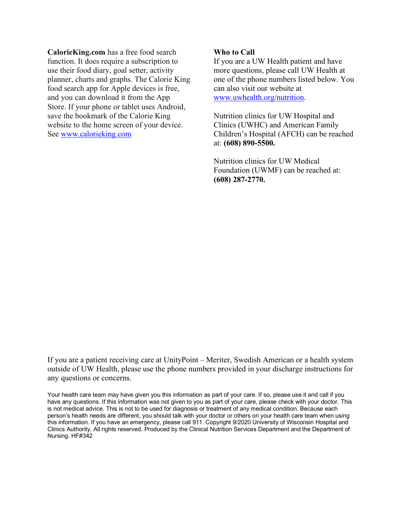**CalorieKing.com** has a free food search function. It does require a subscription to use their food diary, goal setter, activity planner, charts and graphs. The Calorie King food search app for Apple devices is free, and you can download it from the App Store. If your phone or tablet uses Android, save the bookmark of the Calorie King website to the home screen of your device. See [www.calorieking.com](http://www.calorieking.com/)

#### **Who to Call**

If you are a UW Health patient and have more questions, please call UW Health at one of the phone numbers listed below. You can also visit our website at [www.uwhealth.org/nutrition.](http://www.uwhealth.org/nutrition)

Nutrition clinics for UW Hospital and Clinics (UWHC) and American Family Children's Hospital (AFCH) can be reached at: **(608) 890-5500.**

Nutrition clinics for UW Medical Foundation (UWMF) can be reached at: **(608) 287-2770.**

If you are a patient receiving care at UnityPoint – Meriter, Swedish American or a health system outside of UW Health, please use the phone numbers provided in your discharge instructions for any questions or concerns.

Your health care team may have given you this information as part of your care. If so, please use it and call if you have any questions. If this information was not given to you as part of your care, please check with your doctor. This is not medical advice. This is not to be used for diagnosis or treatment of any medical condition. Because each person's health needs are different, you should talk with your doctor or others on your health care team when using this information. If you have an emergency, please call 911. Copyright 9/2020 University of Wisconsin Hospital and Clinics Authority. All rights reserved. Produced by the Clinical Nutrition Services Department and the Department of Nursing. HF#342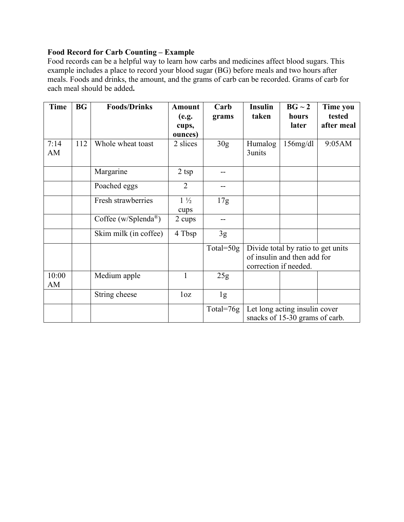# **Food Record for Carb Counting – Example**

Food records can be a helpful way to learn how carbs and medicines affect blood sugars. This example includes a place to record your blood sugar (BG) before meals and two hours after meals. Foods and drinks, the amount, and the grams of carb can be recorded. Grams of carb for each meal should be added**.**

| <b>Time</b> | <b>BG</b> | <b>Foods/Drinks</b>              | <b>Amount</b><br>(e.g. | Carb<br>grams   | <b>Insulin</b><br>taken            | $BG \sim 2$<br>hours | Time you<br>tested |
|-------------|-----------|----------------------------------|------------------------|-----------------|------------------------------------|----------------------|--------------------|
|             |           |                                  | cups,                  |                 |                                    | later                | after meal         |
|             |           |                                  | ounces)                |                 |                                    |                      |                    |
| 7:14        | 112       | Whole wheat toast                | 2 slices               | 30 <sub>g</sub> | Humalog                            | $156$ mg/dl          | 9:05AM             |
| AM          |           |                                  |                        |                 | 3units                             |                      |                    |
|             |           | Margarine                        | $2$ tsp                | --              |                                    |                      |                    |
|             |           | Poached eggs                     | $\overline{2}$         | --              |                                    |                      |                    |
|             |           | Fresh strawberries               | $1\frac{1}{2}$         | 17g             |                                    |                      |                    |
|             |           |                                  | cups                   |                 |                                    |                      |                    |
|             |           | Coffee (w/Splenda <sup>®</sup> ) | 2 cups                 | --              |                                    |                      |                    |
|             |           | Skim milk (in coffee)            | 4 Tbsp                 | 3g              |                                    |                      |                    |
|             |           |                                  |                        | Total= $50g$    | Divide total by ratio to get units |                      |                    |
|             |           |                                  |                        |                 | of insulin and then add for        |                      |                    |
|             |           |                                  |                        |                 | correction if needed.              |                      |                    |
| 10:00<br>AM |           | Medium apple                     | 1                      | 25g             |                                    |                      |                    |
|             |           | String cheese                    | 1 <sub>oz</sub>        | 1g              |                                    |                      |                    |
|             |           |                                  |                        | Total= $76g$    | Let long acting insulin cover      |                      |                    |
|             |           |                                  |                        |                 | snacks of 15-30 grams of carb.     |                      |                    |